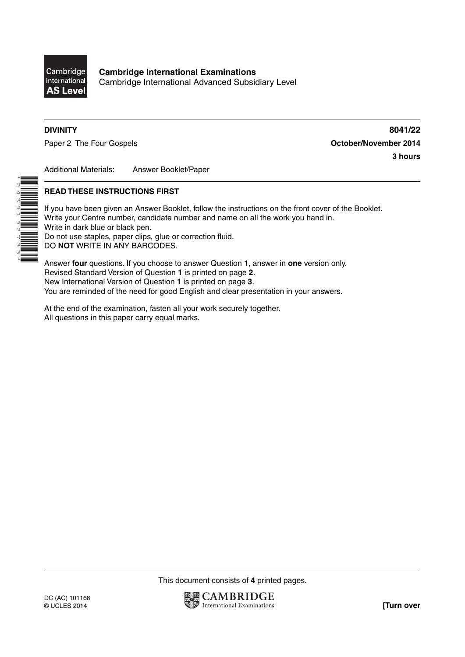

**Cambridge International Examinations** Cambridge International Advanced Subsidiary Level

\*2439192733\*

**DIVINITY 8041/22** Paper 2 The Four Gospels **Contact Act Contact Act Contact Act October/November 2014 3 hours**

Additional Materials: Answer Booklet/Paper

# **READ THESE INSTRUCTIONS FIRST**

If you have been given an Answer Booklet, follow the instructions on the front cover of the Booklet. Write your Centre number, candidate number and name on all the work you hand in. Write in dark blue or black pen. Do not use staples, paper clips, glue or correction fluid. DO **NOT** WRITE IN ANY BARCODES.

Answer **four** questions. If you choose to answer Question 1, answer in **one** version only. Revised Standard Version of Question **1** is printed on page **2**. New International Version of Question **1** is printed on page **3**. You are reminded of the need for good English and clear presentation in your answers.

At the end of the examination, fasten all your work securely together. All questions in this paper carry equal marks.

This document consists of **4** printed pages.

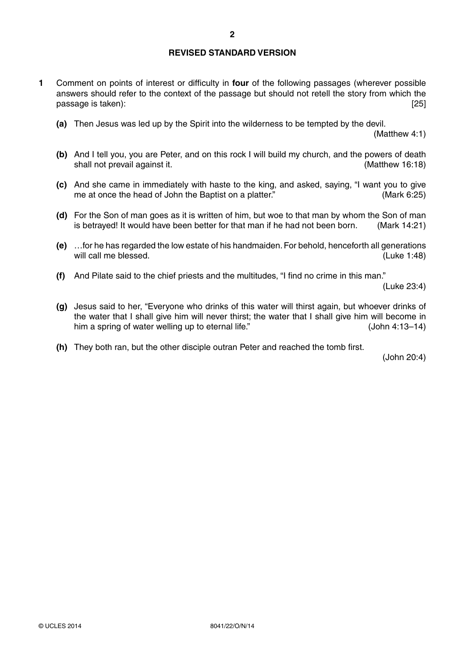# **REVISED STANDARD VERSION**

- **1** Comment on points of interest or difficulty in **four** of the following passages (wherever possible answers should refer to the context of the passage but should not retell the story from which the passage is taken): [25] passage is taken): [25] passage is taken):  $\frac{1}{2}$ 
	- **(a)** Then Jesus was led up by the Spirit into the wilderness to be tempted by the devil.

(Matthew 4:1)

- **(b)** And I tell you, you are Peter, and on this rock I will build my church, and the powers of death shall not prevail against it. (Matthew 16:18)
- **(c)** And she came in immediately with haste to the king, and asked, saying, "I want you to give me at once the head of John the Baptist on a platter." (Mark 6:25)
- **(d)** For the Son of man goes as it is written of him, but woe to that man by whom the Son of man is betrayed! It would have been better for that man if he had not been born. (Mark 14:21)
- **(e)** …for he has regarded the low estate of his handmaiden. For behold, henceforth all generations will call me blessed. The contract of the contract of the contract of the contract of the contract of the contract of the contract of the contract of the contract of the contract of the contract of the contract of the cont
- **(f)** And Pilate said to the chief priests and the multitudes, "I find no crime in this man."

(Luke 23:4)

- **(g)** Jesus said to her, "Everyone who drinks of this water will thirst again, but whoever drinks of the water that I shall give him will never thirst; the water that I shall give him will become in him a spring of water welling up to eternal life." (John 4:13-14)
- **(h)** They both ran, but the other disciple outran Peter and reached the tomb first.

(John 20:4)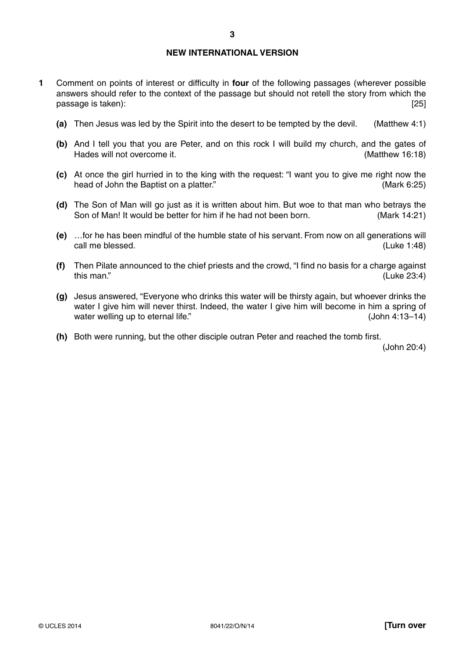# **NEW INTERNATIONAL VERSION**

- **1** Comment on points of interest or difficulty in **four** of the following passages (wherever possible answers should refer to the context of the passage but should not retell the story from which the passage is taken): [25] passage is taken): [25] passage is taken):  $\frac{1}{2}$ 
	- **(a)** Then Jesus was led by the Spirit into the desert to be tempted by the devil. (Matthew 4:1)
	- **(b)** And I tell you that you are Peter, and on this rock I will build my church, and the gates of Hades will not overcome it. (Matthew 16:18)
	- **(c)** At once the girl hurried in to the king with the request: "I want you to give me right now the head of John the Baptist on a platter." 
	(Mark 6:25)
	- **(d)** The Son of Man will go just as it is written about him. But woe to that man who betrays the Son of Man! It would be better for him if he had not been born. (Mark 14:21)
	- **(e)** …for he has been mindful of the humble state of his servant. From now on all generations will call me blessed. (Luke 1:48)
	- **(f)** Then Pilate announced to the chief priests and the crowd, "I find no basis for a charge against this man." (Luke 23:4)
	- **(g)** Jesus answered, "Everyone who drinks this water will be thirsty again, but whoever drinks the water I give him will never thirst. Indeed, the water I give him will become in him a spring of water welling up to eternal life." (John 4:13-14)
	- **(h)** Both were running, but the other disciple outran Peter and reached the tomb first.

(John 20:4)